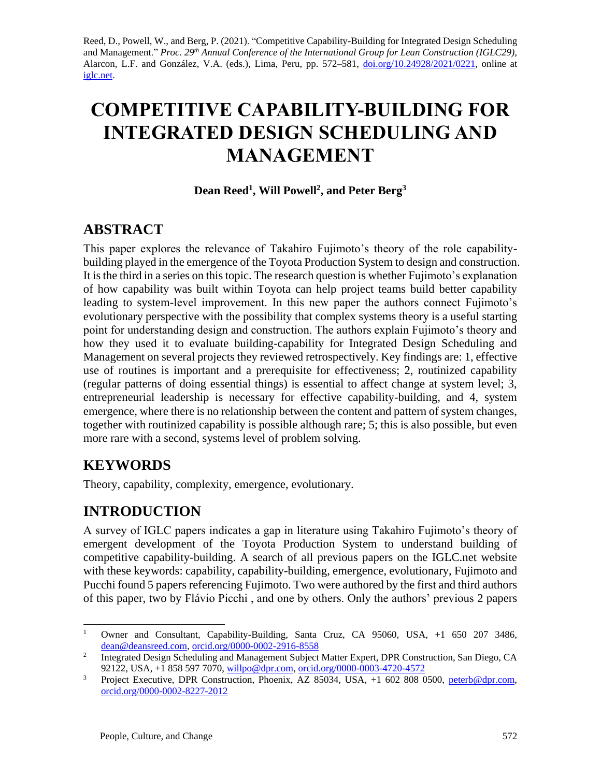Reed, D., Powell, W., and Berg, P. (2021). "Competitive Capability-Building for Integrated Design Scheduling and Management." *Proc. 29 th Annual Conference of the International Group for Lean Construction (IGLC29),*  Alarcon, L.F. and González, V.A. (eds.)*,* Lima, Peru, pp. 572–581, [doi.org/10.24928/2021/0221,](https://doi.org/10.24928/2021/0221) online at [iglc.net.](http://iglc.net/)

# **COMPETITIVE CAPABILITY-BUILDING FOR INTEGRATED DESIGN SCHEDULING AND MANAGEMENT**

#### **Dean Reed<sup>1</sup> , Will Powell<sup>2</sup> , and Peter Berg<sup>3</sup>**

## **ABSTRACT**

This paper explores the relevance of Takahiro Fujimoto's theory of the role capabilitybuilding played in the emergence of the Toyota Production System to design and construction. It is the third in a series on this topic. The research question is whether Fujimoto's explanation of how capability was built within Toyota can help project teams build better capability leading to system-level improvement. In this new paper the authors connect Fujimoto's evolutionary perspective with the possibility that complex systems theory is a useful starting point for understanding design and construction. The authors explain Fujimoto's theory and how they used it to evaluate building-capability for Integrated Design Scheduling and Management on several projects they reviewed retrospectively. Key findings are: 1, effective use of routines is important and a prerequisite for effectiveness; 2, routinized capability (regular patterns of doing essential things) is essential to affect change at system level; 3, entrepreneurial leadership is necessary for effective capability-building, and 4, system emergence, where there is no relationship between the content and pattern of system changes, together with routinized capability is possible although rare; 5; this is also possible, but even more rare with a second, systems level of problem solving.

# **KEYWORDS**

Theory, capability, complexity, emergence, evolutionary.

# **INTRODUCTION**

A survey of IGLC papers indicates a gap in literature using Takahiro Fujimoto's theory of emergent development of the Toyota Production System to understand building of competitive capability-building. A search of all previous papers on the IGLC.net website with these keywords: capability, capability-building, emergence, evolutionary, Fujimoto and Pucchi found 5 papers referencing Fujimoto. Two were authored by the first and third authors of this paper, two by Flávio Picchi , and one by others. Only the authors' previous 2 papers

<sup>&</sup>lt;sup>1</sup> Owner and Consultant, Capability-Building, Santa Cruz, CA 95060, USA, +1 650 207 3486, [dean@deansreed.com,](mailto:dean@deansreed.com) [orcid.org/0000-0002-2916-8558](https://orcid.org/0000-0002-2916-8558)

<sup>2</sup> Integrated Design Scheduling and Management Subject Matter Expert, DPR Construction, San Diego, CA 92122, USA, +1 858 597 7070, [willpo@dpr.com,](mailto:willpo@dpr.com) [orcid.org/0000-0003-4720-4572](https://orcid.org/0000-0003-4720-4572)

<sup>&</sup>lt;sup>3</sup> Project Executive, DPR Construction, Phoenix, AZ 85034, USA, +1 602 808 0500, [peterb@dpr.com,](mailto:peterb@dpr.com) [orcid.org/0000-0002-8227-2012](https://orcid.org/0000-0002-8227-2012)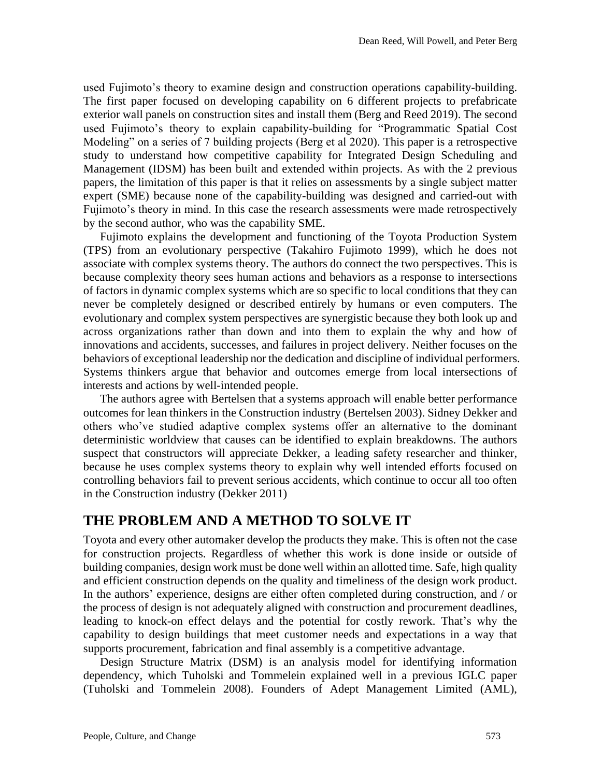used Fujimoto's theory to examine design and construction operations capability-building. The first paper focused on developing capability on 6 different projects to prefabricate exterior wall panels on construction sites and install them (Berg and Reed 2019). The second used Fujimoto's theory to explain capability-building for "Programmatic Spatial Cost Modeling" on a series of 7 building projects (Berg et al 2020). This paper is a retrospective study to understand how competitive capability for Integrated Design Scheduling and Management (IDSM) has been built and extended within projects. As with the 2 previous papers, the limitation of this paper is that it relies on assessments by a single subject matter expert (SME) because none of the capability-building was designed and carried-out with Fujimoto's theory in mind. In this case the research assessments were made retrospectively by the second author, who was the capability SME.

Fujimoto explains the development and functioning of the Toyota Production System (TPS) from an evolutionary perspective (Takahiro Fujimoto 1999), which he does not associate with complex systems theory. The authors do connect the two perspectives. This is because complexity theory sees human actions and behaviors as a response to intersections of factors in dynamic complex systems which are so specific to local conditions that they can never be completely designed or described entirely by humans or even computers. The evolutionary and complex system perspectives are synergistic because they both look up and across organizations rather than down and into them to explain the why and how of innovations and accidents, successes, and failures in project delivery. Neither focuses on the behaviors of exceptional leadership nor the dedication and discipline of individual performers. Systems thinkers argue that behavior and outcomes emerge from local intersections of interests and actions by well-intended people.

The authors agree with Bertelsen that a systems approach will enable better performance outcomes for lean thinkers in the Construction industry (Bertelsen 2003). Sidney Dekker and others who've studied adaptive complex systems offer an alternative to the dominant deterministic worldview that causes can be identified to explain breakdowns. The authors suspect that constructors will appreciate Dekker, a leading safety researcher and thinker, because he uses complex systems theory to explain why well intended efforts focused on controlling behaviors fail to prevent serious accidents, which continue to occur all too often in the Construction industry (Dekker 2011)

#### **THE PROBLEM AND A METHOD TO SOLVE IT**

Toyota and every other automaker develop the products they make. This is often not the case for construction projects. Regardless of whether this work is done inside or outside of building companies, design work must be done well within an allotted time. Safe, high quality and efficient construction depends on the quality and timeliness of the design work product. In the authors' experience, designs are either often completed during construction, and / or the process of design is not adequately aligned with construction and procurement deadlines, leading to knock-on effect delays and the potential for costly rework. That's why the capability to design buildings that meet customer needs and expectations in a way that supports procurement, fabrication and final assembly is a competitive advantage.

Design Structure Matrix (DSM) is an analysis model for identifying information dependency, which Tuholski and Tommelein explained well in a previous IGLC paper (Tuholski and Tommelein 2008). Founders of Adept Management Limited (AML),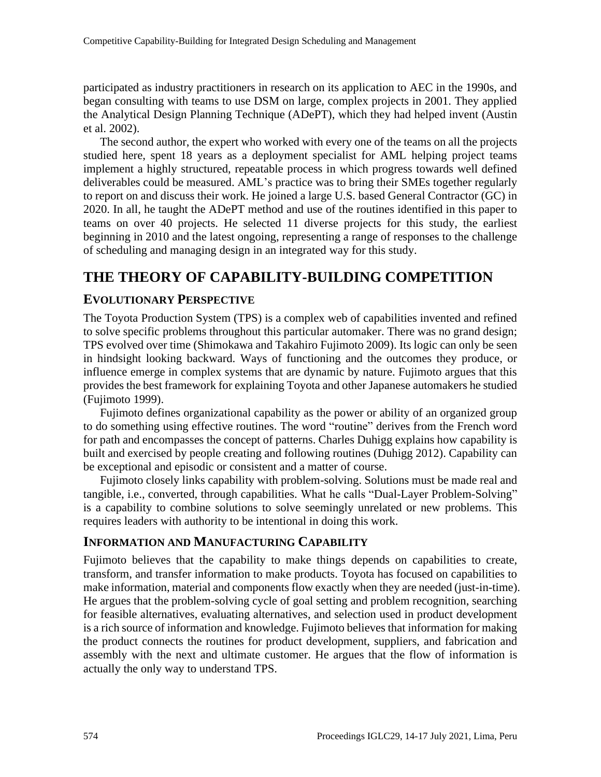participated as industry practitioners in research on its application to AEC in the 1990s, and began consulting with teams to use DSM on large, complex projects in 2001. They applied the Analytical Design Planning Technique (ADePT), which they had helped invent (Austin et al. 2002).

The second author, the expert who worked with every one of the teams on all the projects studied here, spent 18 years as a deployment specialist for AML helping project teams implement a highly structured, repeatable process in which progress towards well defined deliverables could be measured. AML's practice was to bring their SMEs together regularly to report on and discuss their work. He joined a large U.S. based General Contractor (GC) in 2020. In all, he taught the ADePT method and use of the routines identified in this paper to teams on over 40 projects. He selected 11 diverse projects for this study, the earliest beginning in 2010 and the latest ongoing, representing a range of responses to the challenge of scheduling and managing design in an integrated way for this study.

# **THE THEORY OF CAPABILITY-BUILDING COMPETITION**

#### **EVOLUTIONARY PERSPECTIVE**

The Toyota Production System (TPS) is a complex web of capabilities invented and refined to solve specific problems throughout this particular automaker. There was no grand design; TPS evolved over time (Shimokawa and Takahiro Fujimoto 2009). Its logic can only be seen in hindsight looking backward. Ways of functioning and the outcomes they produce, or influence emerge in complex systems that are dynamic by nature. Fujimoto argues that this provides the best framework for explaining Toyota and other Japanese automakers he studied (Fujimoto 1999).

Fujimoto defines organizational capability as the power or ability of an organized group to do something using effective routines. The word "routine" derives from the French word for path and encompasses the concept of patterns. Charles Duhigg explains how capability is built and exercised by people creating and following routines (Duhigg 2012). Capability can be exceptional and episodic or consistent and a matter of course.

Fujimoto closely links capability with problem-solving. Solutions must be made real and tangible, i.e., converted, through capabilities. What he calls "Dual-Layer Problem-Solving" is a capability to combine solutions to solve seemingly unrelated or new problems. This requires leaders with authority to be intentional in doing this work.

#### **INFORMATION AND MANUFACTURING CAPABILITY**

Fujimoto believes that the capability to make things depends on capabilities to create, transform, and transfer information to make products. Toyota has focused on capabilities to make information, material and components flow exactly when they are needed (just-in-time). He argues that the problem-solving cycle of goal setting and problem recognition, searching for feasible alternatives, evaluating alternatives, and selection used in product development is a rich source of information and knowledge. Fujimoto believes that information for making the product connects the routines for product development, suppliers, and fabrication and assembly with the next and ultimate customer. He argues that the flow of information is actually the only way to understand TPS.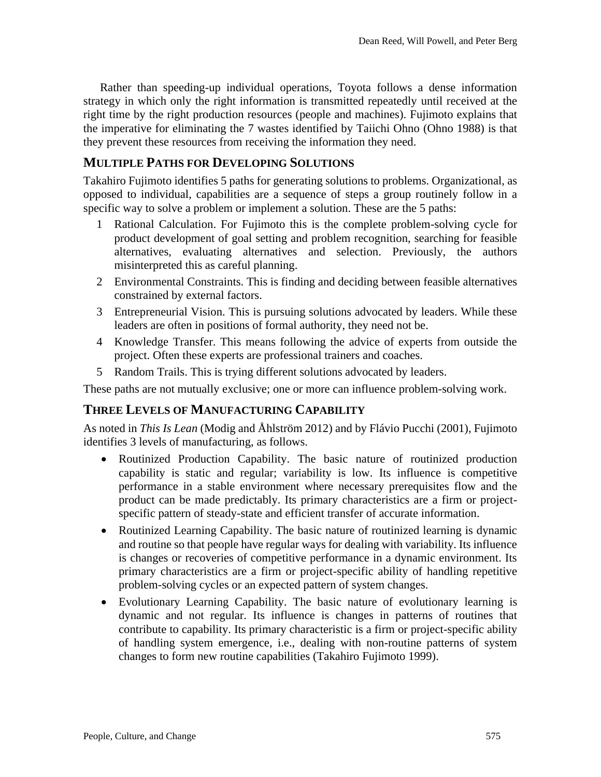Rather than speeding-up individual operations, Toyota follows a dense information strategy in which only the right information is transmitted repeatedly until received at the right time by the right production resources (people and machines). Fujimoto explains that the imperative for eliminating the 7 wastes identified by Taiichi Ohno (Ohno 1988) is that they prevent these resources from receiving the information they need.

#### **MULTIPLE PATHS FOR DEVELOPING SOLUTIONS**

Takahiro Fujimoto identifies 5 paths for generating solutions to problems. Organizational, as opposed to individual, capabilities are a sequence of steps a group routinely follow in a specific way to solve a problem or implement a solution. These are the 5 paths:

- 1 Rational Calculation. For Fujimoto this is the complete problem-solving cycle for product development of goal setting and problem recognition, searching for feasible alternatives, evaluating alternatives and selection. Previously, the authors misinterpreted this as careful planning.
- 2 Environmental Constraints. This is finding and deciding between feasible alternatives constrained by external factors.
- 3 Entrepreneurial Vision. This is pursuing solutions advocated by leaders. While these leaders are often in positions of formal authority, they need not be.
- 4 Knowledge Transfer. This means following the advice of experts from outside the project. Often these experts are professional trainers and coaches.
- 5 Random Trails. This is trying different solutions advocated by leaders.

These paths are not mutually exclusive; one or more can influence problem-solving work.

#### **THREE LEVELS OF MANUFACTURING CAPABILITY**

As noted in *This Is Lean* (Modig and Åhlström 2012) and by Flávio Pucchi (2001), Fujimoto identifies 3 levels of manufacturing, as follows.

- Routinized Production Capability. The basic nature of routinized production capability is static and regular; variability is low. Its influence is competitive performance in a stable environment where necessary prerequisites flow and the product can be made predictably. Its primary characteristics are a firm or projectspecific pattern of steady-state and efficient transfer of accurate information.
- Routinized Learning Capability. The basic nature of routinized learning is dynamic and routine so that people have regular ways for dealing with variability. Its influence is changes or recoveries of competitive performance in a dynamic environment. Its primary characteristics are a firm or project-specific ability of handling repetitive problem-solving cycles or an expected pattern of system changes.
- Evolutionary Learning Capability. The basic nature of evolutionary learning is dynamic and not regular. Its influence is changes in patterns of routines that contribute to capability. Its primary characteristic is a firm or project-specific ability of handling system emergence, i.e., dealing with non-routine patterns of system changes to form new routine capabilities (Takahiro Fujimoto 1999).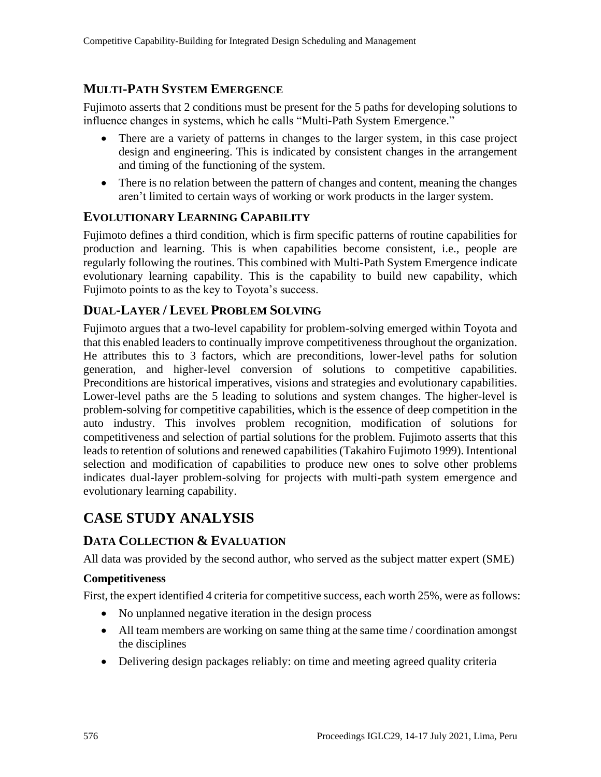### **MULTI-PATH SYSTEM EMERGENCE**

Fujimoto asserts that 2 conditions must be present for the 5 paths for developing solutions to influence changes in systems, which he calls "Multi-Path System Emergence."

- There are a variety of patterns in changes to the larger system, in this case project design and engineering. This is indicated by consistent changes in the arrangement and timing of the functioning of the system.
- There is no relation between the pattern of changes and content, meaning the changes aren't limited to certain ways of working or work products in the larger system.

#### **EVOLUTIONARY LEARNING CAPABILITY**

Fujimoto defines a third condition, which is firm specific patterns of routine capabilities for production and learning. This is when capabilities become consistent, i.e., people are regularly following the routines. This combined with Multi-Path System Emergence indicate evolutionary learning capability. This is the capability to build new capability, which Fujimoto points to as the key to Toyota's success.

#### **DUAL-LAYER / LEVEL PROBLEM SOLVING**

Fujimoto argues that a two-level capability for problem-solving emerged within Toyota and that this enabled leaders to continually improve competitiveness throughout the organization. He attributes this to 3 factors, which are preconditions, lower-level paths for solution generation, and higher-level conversion of solutions to competitive capabilities. Preconditions are historical imperatives, visions and strategies and evolutionary capabilities. Lower-level paths are the 5 leading to solutions and system changes. The higher-level is problem-solving for competitive capabilities, which is the essence of deep competition in the auto industry. This involves problem recognition, modification of solutions for competitiveness and selection of partial solutions for the problem. Fujimoto asserts that this leads to retention of solutions and renewed capabilities (Takahiro Fujimoto 1999). Intentional selection and modification of capabilities to produce new ones to solve other problems indicates dual-layer problem-solving for projects with multi-path system emergence and evolutionary learning capability.

# **CASE STUDY ANALYSIS**

#### **DATA COLLECTION & EVALUATION**

All data was provided by the second author, who served as the subject matter expert (SME)

#### **Competitiveness**

First, the expert identified 4 criteria for competitive success, each worth 25%, were as follows:

- No unplanned negative iteration in the design process
- All team members are working on same thing at the same time / coordination amongst the disciplines
- Delivering design packages reliably: on time and meeting agreed quality criteria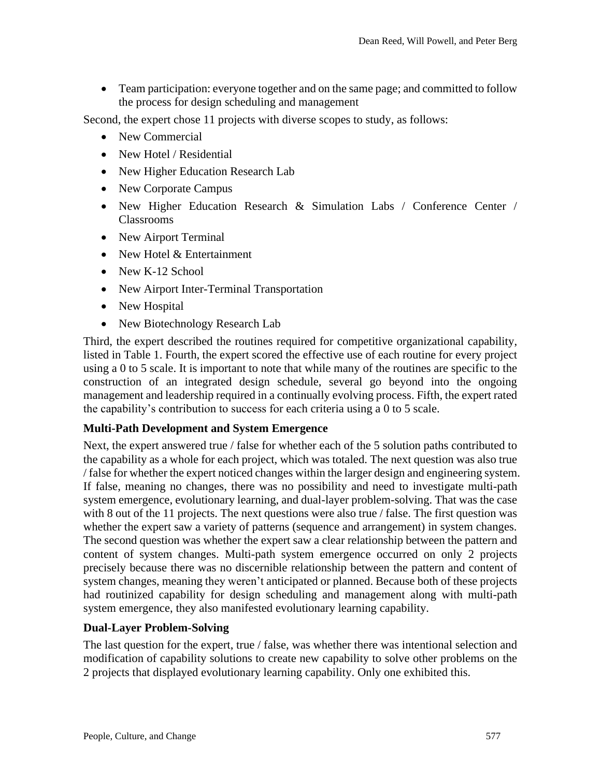• Team participation: everyone together and on the same page; and committed to follow the process for design scheduling and management

Second, the expert chose 11 projects with diverse scopes to study, as follows:

- New Commercial
- New Hotel / Residential
- New Higher Education Research Lab
- New Corporate Campus
- New Higher Education Research & Simulation Labs / Conference Center / Classrooms
- New Airport Terminal
- New Hotel & Entertainment
- New K-12 School
- New Airport Inter-Terminal Transportation
- New Hospital
- New Biotechnology Research Lab

Third, the expert described the routines required for competitive organizational capability, listed in Table 1. Fourth, the expert scored the effective use of each routine for every project using a 0 to 5 scale. It is important to note that while many of the routines are specific to the construction of an integrated design schedule, several go beyond into the ongoing management and leadership required in a continually evolving process. Fifth, the expert rated the capability's contribution to success for each criteria using a 0 to 5 scale.

#### **Multi-Path Development and System Emergence**

Next, the expert answered true / false for whether each of the 5 solution paths contributed to the capability as a whole for each project, which was totaled. The next question was also true / false for whether the expert noticed changes within the larger design and engineering system. If false, meaning no changes, there was no possibility and need to investigate multi-path system emergence, evolutionary learning, and dual-layer problem-solving. That was the case with 8 out of the 11 projects. The next questions were also true / false. The first question was whether the expert saw a variety of patterns (sequence and arrangement) in system changes. The second question was whether the expert saw a clear relationship between the pattern and content of system changes. Multi-path system emergence occurred on only 2 projects precisely because there was no discernible relationship between the pattern and content of system changes, meaning they weren't anticipated or planned. Because both of these projects had routinized capability for design scheduling and management along with multi-path system emergence, they also manifested evolutionary learning capability.

#### **Dual-Layer Problem-Solving**

The last question for the expert, true / false, was whether there was intentional selection and modification of capability solutions to create new capability to solve other problems on the 2 projects that displayed evolutionary learning capability. Only one exhibited this.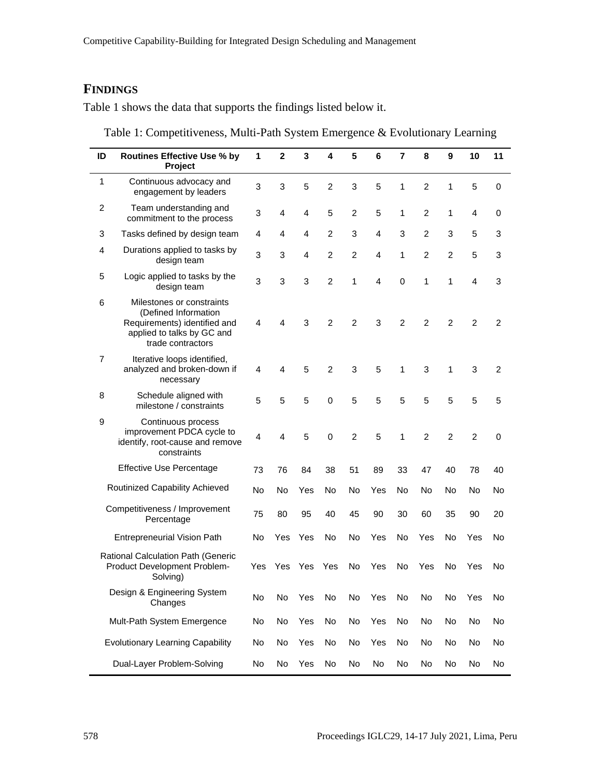## **FINDINGS**

Table 1 shows the data that supports the findings listed below it.

| Table 1: Competitiveness, Multi-Path System Emergence & Evolutionary Learning |  |  |
|-------------------------------------------------------------------------------|--|--|
|                                                                               |  |  |

| ID             | <b>Routines Effective Use % by</b><br>Project                                                                                        | 1   | $\mathbf{2}$ | 3              | 4              | 5              | 6              | $\overline{7}$ | 8              | 9              | 10             | 11             |
|----------------|--------------------------------------------------------------------------------------------------------------------------------------|-----|--------------|----------------|----------------|----------------|----------------|----------------|----------------|----------------|----------------|----------------|
| $\mathbf{1}$   | Continuous advocacy and<br>engagement by leaders                                                                                     | 3   | 3            | 5              | $\overline{2}$ | 3              | 5              | 1              | $\overline{2}$ | 1              | 5              | 0              |
| $\overline{c}$ | Team understanding and<br>commitment to the process                                                                                  | 3   | 4            | $\overline{4}$ | 5              | $\overline{2}$ | 5              | 1              | $\overline{2}$ | 1              | 4              | 0              |
| 3              | Tasks defined by design team                                                                                                         | 4   | 4            | 4              | $\overline{2}$ | 3              | $\overline{4}$ | 3              | $\overline{2}$ | 3              | 5              | 3              |
| 4              | Durations applied to tasks by<br>design team                                                                                         | 3   | 3            | $\overline{4}$ | $\overline{2}$ | $\overline{2}$ | 4              | 1              | $\overline{2}$ | $\overline{c}$ | 5              | 3              |
| 5              | Logic applied to tasks by the<br>design team                                                                                         | 3   | 3            | 3              | $\overline{2}$ | 1              | 4              | $\mathbf 0$    | 1              | 1              | 4              | 3              |
| 6              | Milestones or constraints<br>(Defined Information<br>Requirements) identified and<br>applied to talks by GC and<br>trade contractors | 4   | 4            | 3              | $\overline{2}$ | $\overline{2}$ | 3              | $\overline{2}$ | $\overline{2}$ | $\overline{2}$ | $\overline{2}$ | $\overline{2}$ |
| $\overline{7}$ | Iterative loops identified,<br>analyzed and broken-down if<br>necessary                                                              | 4   | 4            | 5              | $\overline{2}$ | 3              | 5              | $\mathbf{1}$   | 3              | 1              | 3              | $\overline{2}$ |
| 8              | Schedule aligned with<br>milestone / constraints                                                                                     | 5   | 5            | 5              | $\mathbf 0$    | 5              | 5              | 5              | 5              | 5              | 5              | 5              |
| 9              | Continuous process<br>improvement PDCA cycle to<br>identify, root-cause and remove<br>constraints                                    | 4   | 4            | 5              | $\mathbf 0$    | $\overline{2}$ | 5              | $\mathbf{1}$   | $\overline{2}$ | $\overline{2}$ | $\overline{2}$ | 0              |
|                | <b>Effective Use Percentage</b>                                                                                                      | 73  | 76           | 84             | 38             | 51             | 89             | 33             | 47             | 40             | 78             | 40             |
|                | Routinized Capability Achieved                                                                                                       | No  | No           | Yes            | No             | No             | Yes            | No             | No             | No             | No             | No             |
|                | Competitiveness / Improvement<br>Percentage                                                                                          | 75  | 80           | 95             | 40             | 45             | 90             | 30             | 60             | 35             | 90             | 20             |
|                | <b>Entrepreneurial Vision Path</b>                                                                                                   | No  | Yes          | Yes            | No             | <b>No</b>      | Yes            | <b>No</b>      | Yes            | <b>No</b>      | Yes            | No             |
|                | Rational Calculation Path (Generic<br>Product Development Problem-<br>Solving)                                                       | Yes | Yes          | Yes            | Yes            | No             | Yes            | No             | Yes            | No             | Yes            | No             |
|                | Design & Engineering System<br>Changes                                                                                               | No  | No           | Yes            | No             | No             | Yes            | No             | No             | No             | Yes            | No             |
|                | Mult-Path System Emergence                                                                                                           | No  | No           | Yes            | No             | No             | Yes            | No             | No             | No             | No             | No             |
|                | <b>Evolutionary Learning Capability</b>                                                                                              | No  | No           | Yes            | No             | No             | Yes            | No             | No             | No             | No             | No             |
|                | Dual-Layer Problem-Solving                                                                                                           | No  | No           | Yes            | No             | No             | No             | No             | No             | No             | No             | No             |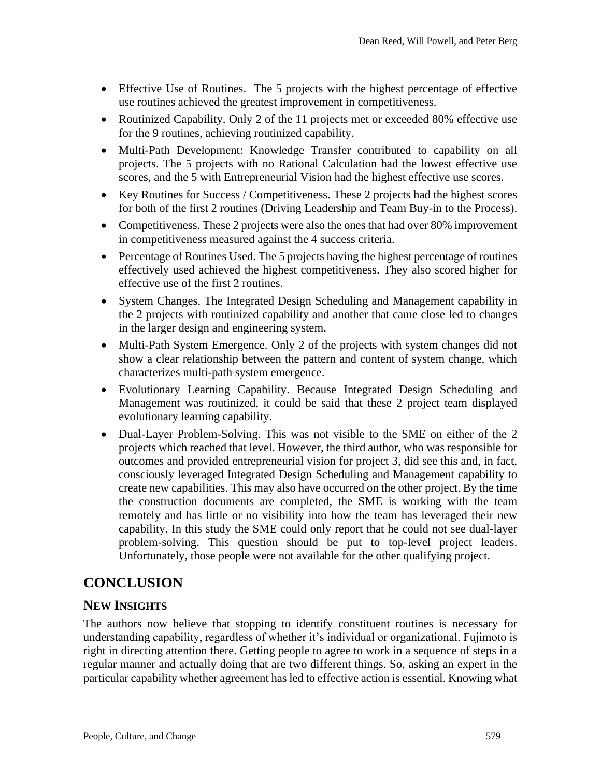- Effective Use of Routines. The 5 projects with the highest percentage of effective use routines achieved the greatest improvement in competitiveness.
- Routinized Capability. Only 2 of the 11 projects met or exceeded 80% effective use for the 9 routines, achieving routinized capability.
- Multi-Path Development: Knowledge Transfer contributed to capability on all projects. The 5 projects with no Rational Calculation had the lowest effective use scores, and the 5 with Entrepreneurial Vision had the highest effective use scores.
- Key Routines for Success / Competitiveness. These 2 projects had the highest scores for both of the first 2 routines (Driving Leadership and Team Buy-in to the Process).
- Competitiveness. These 2 projects were also the ones that had over 80% improvement in competitiveness measured against the 4 success criteria.
- Percentage of Routines Used. The 5 projects having the highest percentage of routines effectively used achieved the highest competitiveness. They also scored higher for effective use of the first 2 routines.
- System Changes. The Integrated Design Scheduling and Management capability in the 2 projects with routinized capability and another that came close led to changes in the larger design and engineering system.
- Multi-Path System Emergence. Only 2 of the projects with system changes did not show a clear relationship between the pattern and content of system change, which characterizes multi-path system emergence.
- Evolutionary Learning Capability. Because Integrated Design Scheduling and Management was routinized, it could be said that these 2 project team displayed evolutionary learning capability.
- Dual-Layer Problem-Solving. This was not visible to the SME on either of the 2 projects which reached that level. However, the third author, who was responsible for outcomes and provided entrepreneurial vision for project 3, did see this and, in fact, consciously leveraged Integrated Design Scheduling and Management capability to create new capabilities. This may also have occurred on the other project. By the time the construction documents are completed, the SME is working with the team remotely and has little or no visibility into how the team has leveraged their new capability. In this study the SME could only report that he could not see dual-layer problem-solving. This question should be put to top-level project leaders. Unfortunately, those people were not available for the other qualifying project.

# **CONCLUSION**

#### **NEW INSIGHTS**

The authors now believe that stopping to identify constituent routines is necessary for understanding capability, regardless of whether it's individual or organizational. Fujimoto is right in directing attention there. Getting people to agree to work in a sequence of steps in a regular manner and actually doing that are two different things. So, asking an expert in the particular capability whether agreement has led to effective action is essential. Knowing what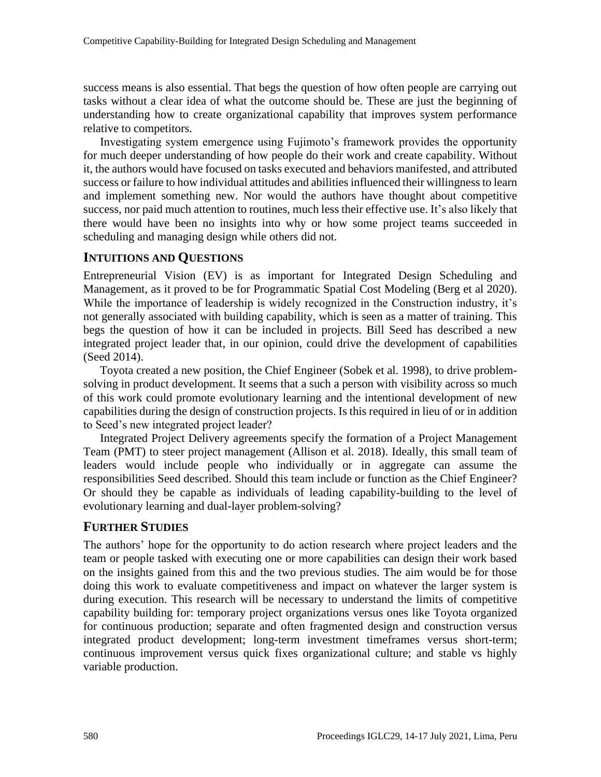success means is also essential. That begs the question of how often people are carrying out tasks without a clear idea of what the outcome should be. These are just the beginning of understanding how to create organizational capability that improves system performance relative to competitors.

Investigating system emergence using Fujimoto's framework provides the opportunity for much deeper understanding of how people do their work and create capability. Without it, the authors would have focused on tasks executed and behaviors manifested, and attributed success or failure to how individual attitudes and abilities influenced their willingness to learn and implement something new. Nor would the authors have thought about competitive success, nor paid much attention to routines, much less their effective use. It's also likely that there would have been no insights into why or how some project teams succeeded in scheduling and managing design while others did not.

#### **INTUITIONS AND QUESTIONS**

Entrepreneurial Vision (EV) is as important for Integrated Design Scheduling and Management, as it proved to be for Programmatic Spatial Cost Modeling (Berg et al 2020). While the importance of leadership is widely recognized in the Construction industry, it's not generally associated with building capability, which is seen as a matter of training. This begs the question of how it can be included in projects. Bill Seed has described a new integrated project leader that, in our opinion, could drive the development of capabilities (Seed 2014).

Toyota created a new position, the Chief Engineer (Sobek et al. 1998), to drive problemsolving in product development. It seems that a such a person with visibility across so much of this work could promote evolutionary learning and the intentional development of new capabilities during the design of construction projects. Is this required in lieu of or in addition to Seed's new integrated project leader?

Integrated Project Delivery agreements specify the formation of a Project Management Team (PMT) to steer project management (Allison et al. 2018). Ideally, this small team of leaders would include people who individually or in aggregate can assume the responsibilities Seed described. Should this team include or function as the Chief Engineer? Or should they be capable as individuals of leading capability-building to the level of evolutionary learning and dual-layer problem-solving?

#### **FURTHER STUDIES**

The authors' hope for the opportunity to do action research where project leaders and the team or people tasked with executing one or more capabilities can design their work based on the insights gained from this and the two previous studies. The aim would be for those doing this work to evaluate competitiveness and impact on whatever the larger system is during execution. This research will be necessary to understand the limits of competitive capability building for: temporary project organizations versus ones like Toyota organized for continuous production; separate and often fragmented design and construction versus integrated product development; long-term investment timeframes versus short-term; continuous improvement versus quick fixes organizational culture; and stable vs highly variable production.